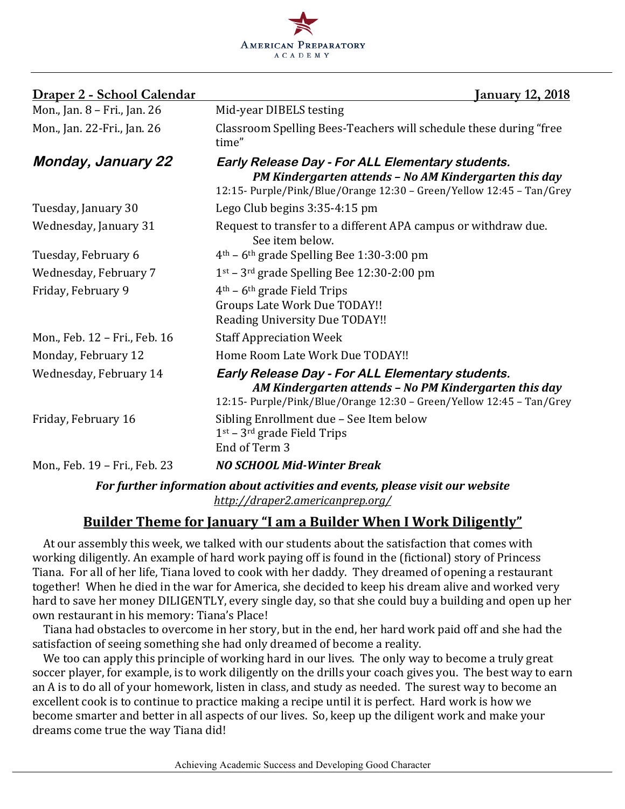

| Mon., Jan. 8 - Fri., Jan. 26<br>Mid-year DIBELS testing<br>Classroom Spelling Bees-Teachers will schedule these during "free<br>Mon., Jan. 22-Fri., Jan. 26<br>time"<br><b>Monday, January 22</b><br>Early Release Day - For ALL Elementary students.<br>PM Kindergarten attends - No AM Kindergarten this day<br>12:15- Purple/Pink/Blue/Orange 12:30 - Green/Yellow 12:45 - Tan/Grey<br>Lego Club begins 3:35-4:15 pm<br>Tuesday, January 30<br>Wednesday, January 31<br>Request to transfer to a different APA campus or withdraw due.<br>See item below.<br>$4th$ – 6 <sup>th</sup> grade Spelling Bee 1:30-3:00 pm<br>Tuesday, February 6<br>$1st$ – 3 <sup>rd</sup> grade Spelling Bee 12:30-2:00 pm<br>Wednesday, February 7<br>Friday, February 9<br>$4th$ – 6 <sup>th</sup> grade Field Trips<br><b>Groups Late Work Due TODAY!!</b><br><b>Reading University Due TODAY!!</b><br>Mon., Feb. 12 - Fri., Feb. 16<br><b>Staff Appreciation Week</b><br>Home Room Late Work Due TODAY!!<br>Monday, February 12<br>Early Release Day - For ALL Elementary students.<br>Wednesday, February 14<br>AM Kindergarten attends - No PM Kindergarten this day<br>12:15- Purple/Pink/Blue/Orange 12:30 - Green/Yellow 12:45 - Tan/Grey<br>Sibling Enrollment due - See Item below<br>Friday, February 16<br>$1st - 3rd$ grade Field Trips<br>End of Term 3<br><b>NO SCHOOL Mid-Winter Break</b><br>Mon., Feb. 19 - Fri., Feb. 23 | <u> Draper 2 - School Calendar</u> | <u>January 12, 2018</u> |
|------------------------------------------------------------------------------------------------------------------------------------------------------------------------------------------------------------------------------------------------------------------------------------------------------------------------------------------------------------------------------------------------------------------------------------------------------------------------------------------------------------------------------------------------------------------------------------------------------------------------------------------------------------------------------------------------------------------------------------------------------------------------------------------------------------------------------------------------------------------------------------------------------------------------------------------------------------------------------------------------------------------------------------------------------------------------------------------------------------------------------------------------------------------------------------------------------------------------------------------------------------------------------------------------------------------------------------------------------------------------------------------------------------------------------|------------------------------------|-------------------------|
|                                                                                                                                                                                                                                                                                                                                                                                                                                                                                                                                                                                                                                                                                                                                                                                                                                                                                                                                                                                                                                                                                                                                                                                                                                                                                                                                                                                                                              |                                    |                         |
|                                                                                                                                                                                                                                                                                                                                                                                                                                                                                                                                                                                                                                                                                                                                                                                                                                                                                                                                                                                                                                                                                                                                                                                                                                                                                                                                                                                                                              |                                    |                         |
|                                                                                                                                                                                                                                                                                                                                                                                                                                                                                                                                                                                                                                                                                                                                                                                                                                                                                                                                                                                                                                                                                                                                                                                                                                                                                                                                                                                                                              |                                    |                         |
|                                                                                                                                                                                                                                                                                                                                                                                                                                                                                                                                                                                                                                                                                                                                                                                                                                                                                                                                                                                                                                                                                                                                                                                                                                                                                                                                                                                                                              |                                    |                         |
|                                                                                                                                                                                                                                                                                                                                                                                                                                                                                                                                                                                                                                                                                                                                                                                                                                                                                                                                                                                                                                                                                                                                                                                                                                                                                                                                                                                                                              |                                    |                         |
|                                                                                                                                                                                                                                                                                                                                                                                                                                                                                                                                                                                                                                                                                                                                                                                                                                                                                                                                                                                                                                                                                                                                                                                                                                                                                                                                                                                                                              |                                    |                         |
|                                                                                                                                                                                                                                                                                                                                                                                                                                                                                                                                                                                                                                                                                                                                                                                                                                                                                                                                                                                                                                                                                                                                                                                                                                                                                                                                                                                                                              |                                    |                         |
|                                                                                                                                                                                                                                                                                                                                                                                                                                                                                                                                                                                                                                                                                                                                                                                                                                                                                                                                                                                                                                                                                                                                                                                                                                                                                                                                                                                                                              |                                    |                         |
|                                                                                                                                                                                                                                                                                                                                                                                                                                                                                                                                                                                                                                                                                                                                                                                                                                                                                                                                                                                                                                                                                                                                                                                                                                                                                                                                                                                                                              |                                    |                         |
|                                                                                                                                                                                                                                                                                                                                                                                                                                                                                                                                                                                                                                                                                                                                                                                                                                                                                                                                                                                                                                                                                                                                                                                                                                                                                                                                                                                                                              |                                    |                         |
|                                                                                                                                                                                                                                                                                                                                                                                                                                                                                                                                                                                                                                                                                                                                                                                                                                                                                                                                                                                                                                                                                                                                                                                                                                                                                                                                                                                                                              |                                    |                         |
|                                                                                                                                                                                                                                                                                                                                                                                                                                                                                                                                                                                                                                                                                                                                                                                                                                                                                                                                                                                                                                                                                                                                                                                                                                                                                                                                                                                                                              |                                    |                         |
|                                                                                                                                                                                                                                                                                                                                                                                                                                                                                                                                                                                                                                                                                                                                                                                                                                                                                                                                                                                                                                                                                                                                                                                                                                                                                                                                                                                                                              |                                    |                         |

For further information about activities and events, please visit our website *http://draper2.americanprep.org/*

### **Builder Theme for January "I am a Builder When I Work Diligently"**

At our assembly this week, we talked with our students about the satisfaction that comes with working diligently. An example of hard work paying off is found in the (fictional) story of Princess Tiana. For all of her life, Tiana loved to cook with her daddy. They dreamed of opening a restaurant together! When he died in the war for America, she decided to keep his dream alive and worked very hard to save her money DILIGENTLY, every single day, so that she could buy a building and open up her own restaurant in his memory: Tiana's Place!

Tiana had obstacles to overcome in her story, but in the end, her hard work paid off and she had the satisfaction of seeing something she had only dreamed of become a reality.

We too can apply this principle of working hard in our lives. The only way to become a truly great soccer player, for example, is to work diligently on the drills your coach gives you. The best way to earn an A is to do all of your homework, listen in class, and study as needed. The surest way to become an excellent cook is to continue to practice making a recipe until it is perfect. Hard work is how we become smarter and better in all aspects of our lives. So, keep up the diligent work and make your dreams come true the way Tiana did!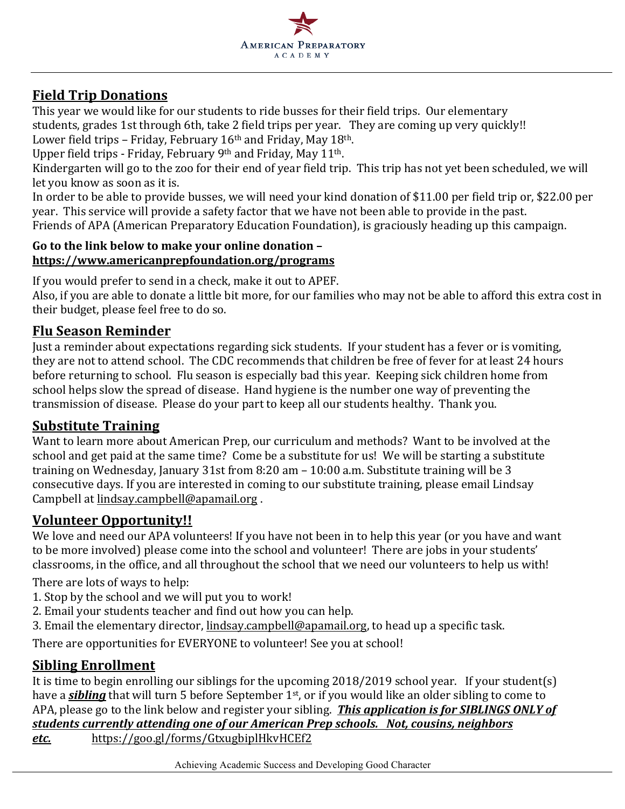

## **Field Trip Donations**

This year we would like for our students to ride busses for their field trips. Our elementary students, grades 1st through 6th, take 2 field trips per year. They are coming up very quickly!! Lower field trips - Friday, February 16<sup>th</sup> and Friday, May 18<sup>th</sup>.

Upper field trips - Friday, February 9th and Friday, May 11th.

Kindergarten will go to the zoo for their end of year field trip. This trip has not yet been scheduled, we will let you know as soon as it is.

In order to be able to provide busses, we will need your kind donation of \$11.00 per field trip or, \$22.00 per year. This service will provide a safety factor that we have not been able to provide in the past. Friends of APA (American Preparatory Education Foundation), is graciously heading up this campaign.

#### Go to the link below to make your online donation **https://www.americanprepfoundation.org/programs**

If you would prefer to send in a check, make it out to APEF.

Also, if you are able to donate a little bit more, for our families who may not be able to afford this extra cost in their budget, please feel free to do so.

## **Flu Season Reminder**

Just a reminder about expectations regarding sick students. If your student has a fever or is vomiting, they are not to attend school. The CDC recommends that children be free of fever for at least 24 hours before returning to school. Flu season is especially bad this year. Keeping sick children home from school helps slow the spread of disease. Hand hygiene is the number one way of preventing the transmission of disease. Please do your part to keep all our students healthy. Thank vou.

### **Substitute Training**

Want to learn more about American Prep, our curriculum and methods? Want to be involved at the school and get paid at the same time? Come be a substitute for us! We will be starting a substitute training on Wednesday, January 31st from 8:20 am  $-$  10:00 a.m. Substitute training will be 3 consecutive days. If you are interested in coming to our substitute training, please email Lindsay Campbell at lindsay.campbell@apamail.org.

## **Volunteer Opportunity!!**

We love and need our APA volunteers! If you have not been in to help this year (or you have and want to be more involved) please come into the school and volunteer! There are jobs in your students' classrooms, in the office, and all throughout the school that we need our volunteers to help us with!

There are lots of ways to help:

- 1. Stop by the school and we will put you to work!
- 2. Email your students teacher and find out how you can help.
- 3. Email the elementary director, lindsay.campbell@apamail.org, to head up a specific task.

There are opportunities for EVERYONE to volunteer! See you at school!

## **Sibling Enrollment**

It is time to begin enrolling our siblings for the upcoming  $2018/2019$  school year. If your student(s) have a **sibling** that will turn 5 before September 1<sup>st</sup>, or if you would like an older sibling to come to APA, please go to the link below and register your sibling. This application is for SIBLINGS ONLY of *students currently attending one of our American Prep schools. Not, cousins, neighbors etc.*  https://goo.gl/forms/GtxugbiplHkvHCEf2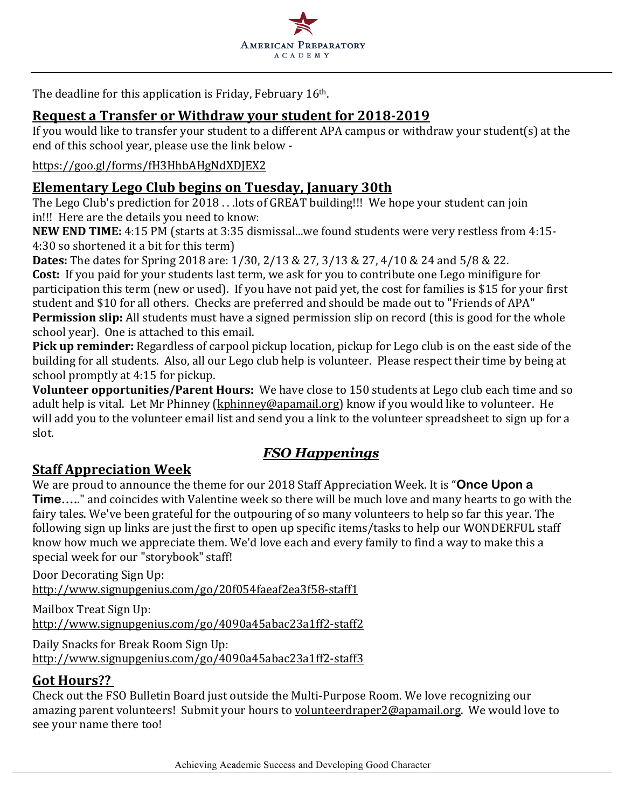

The deadline for this application is Friday, February  $16<sup>th</sup>$ .

### **Request a Transfer or Withdraw your student for 2018-2019**

If you would like to transfer your student to a different APA campus or withdraw your student(s) at the end of this school year, please use the link below -

#### https://goo.gl/forms/fH3HhbAHgNdXDJEX2

### **Elementary Lego Club begins on Tuesday, January 30th**

The Lego Club's prediction for  $2018$ ... lots of GREAT building!!! We hope your student can join in!!! Here are the details you need to know:

**NEW END TIME:** 4:15 PM (starts at 3:35 dismissal...we found students were very restless from 4:15-4:30 so shortened it a bit for this term)

**Dates:** The dates for Spring 2018 are: 1/30, 2/13 & 27, 3/13 & 27, 4/10 & 24 and 5/8 & 22. **Cost:** If you paid for your students last term, we ask for you to contribute one Lego minifigure for participation this term (new or used). If you have not paid yet, the cost for families is \$15 for your first student and \$10 for all others. Checks are preferred and should be made out to "Friends of APA" **Permission slip:** All students must have a signed permission slip on record (this is good for the whole school year). One is attached to this email.

**Pick up reminder:** Regardless of carpool pickup location, pickup for Lego club is on the east side of the building for all students. Also, all our Lego club help is volunteer. Please respect their time by being at school promptly at 4:15 for pickup.

**Volunteer opportunities/Parent Hours:** We have close to 150 students at Lego club each time and so adult help is vital. Let Mr Phinney (kphinney@apamail.org) know if you would like to volunteer. He will add you to the volunteer email list and send you a link to the volunteer spreadsheet to sign up for a slot.

# *FSO Happenings*

### **Staff Appreciation Week**

We are proud to announce the theme for our 2018 Staff Appreciation Week. It is "**Once Upon a Time.....**" and coincides with Valentine week so there will be much love and many hearts to go with the fairy tales. We've been grateful for the outpouring of so many volunteers to help so far this year. The following sign up links are just the first to open up specific items/tasks to help our WONDERFUL staff know how much we appreciate them. We'd love each and every family to find a way to make this a special week for our "storybook" staff!

Door Decorating Sign Up: http://www.signupgenius.com/go/20f054faeaf2ea3f58-staff1

Mailbox Treat Sign Up: http://www.signupgenius.com/go/4090a45abac23a1ff2-staff2

Daily Snacks for Break Room Sign Up: http://www.signupgenius.com/go/4090a45abac23a1ff2-staff3

## **Got Hours??**

Check out the FSO Bulletin Board just outside the Multi-Purpose Room. We love recognizing our amazing parent volunteers! Submit your hours to volunteerdraper2@apamail.org. We would love to see your name there too!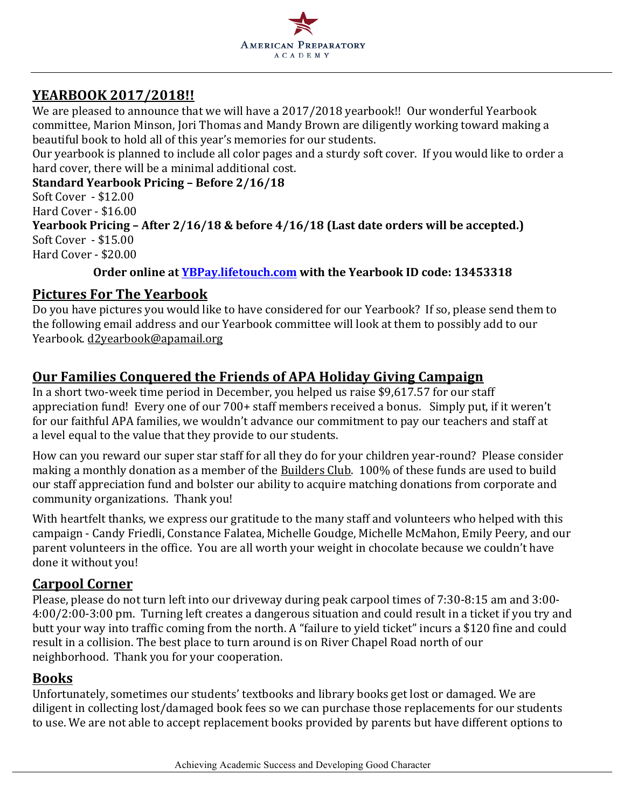

## **YEARBOOK 2017/2018!!**

We are pleased to announce that we will have a 2017/2018 yearbook!! Our wonderful Yearbook committee, Marion Minson, Jori Thomas and Mandy Brown are diligently working toward making a beautiful book to hold all of this year's memories for our students.

Our yearbook is planned to include all color pages and a sturdy soft cover. If you would like to order a hard cover, there will be a minimal additional cost.

**Standard Yearbook Pricing – Before 2/16/18**

Soft Cover - \$12.00 Hard Cover - \$16.00 **Yearbook Pricing – After 2/16/18 & before 4/16/18 (Last date orders will be accepted.)** Soft Cover - \$15.00 Hard Cover - \$20.00

#### **Order** online at **YBPay.lifetouch.com** with the Yearbook ID code: 13453318

## **Pictures For The Yearbook**

Do you have pictures you would like to have considered for our Yearbook? If so, please send them to the following email address and our Yearbook committee will look at them to possibly add to our Yearbook. d2yearbook@apamail.org

## **<u>Our Families Conquered the Friends of APA Holiday Giving Campaign</u>**

In a short two-week time period in December, you helped us raise \$9,617.57 for our staff appreciation fund! Every one of our 700+ staff members received a bonus. Simply put, if it weren't for our faithful APA families, we wouldn't advance our commitment to pay our teachers and staff at a level equal to the value that they provide to our students.

How can you reward our super star staff for all they do for your children year-round? Please consider making a monthly donation as a member of the Builders Club. 100% of these funds are used to build our staff appreciation fund and bolster our ability to acquire matching donations from corporate and community organizations. Thank you!

With heartfelt thanks, we express our gratitude to the many staff and volunteers who helped with this campaign - Candy Friedli, Constance Falatea, Michelle Goudge, Michelle McMahon, Emily Peery, and our parent volunteers in the office. You are all worth your weight in chocolate because we couldn't have done it without you!

## **Carpool Corner**

Please, please do not turn left into our driveway during peak carpool times of 7:30-8:15 am and 3:00-4:00/2:00-3:00 pm. Turning left creates a dangerous situation and could result in a ticket if you try and butt your way into traffic coming from the north. A "failure to yield ticket" incurs a \$120 fine and could result in a collision. The best place to turn around is on River Chapel Road north of our neighborhood. Thank you for your cooperation.

### **Books**

Unfortunately, sometimes our students' textbooks and library books get lost or damaged. We are diligent in collecting lost/damaged book fees so we can purchase those replacements for our students to use. We are not able to accept replacement books provided by parents but have different options to